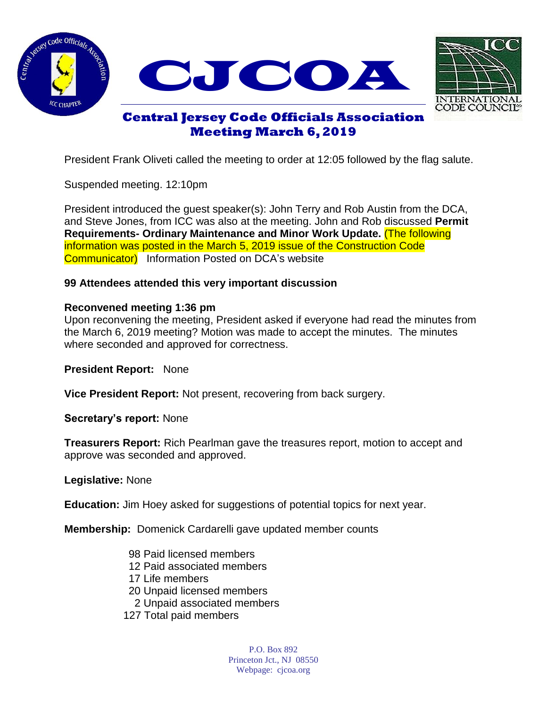





# **Central Jersey Code Officials Association Meeting March 6, 2019**

President Frank Oliveti called the meeting to order at 12:05 followed by the flag salute.

Suspended meeting. 12:10pm

President introduced the guest speaker(s): John Terry and Rob Austin from the DCA, and Steve Jones, from ICC was also at the meeting. John and Rob discussed **Permit Requirements- Ordinary Maintenance and Minor Work Update.** (The following information was posted in the March 5, 2019 issue of the Construction Code **Communicator**) Information Posted on DCA's website

## **99 Attendees attended this very important discussion**

## **Reconvened meeting 1:36 pm**

Upon reconvening the meeting, President asked if everyone had read the minutes from the March 6, 2019 meeting? Motion was made to accept the minutes. The minutes where seconded and approved for correctness.

**President Report:** None

**Vice President Report:** Not present, recovering from back surgery.

**Secretary's report:** None

**Treasurers Report:** Rich Pearlman gave the treasures report, motion to accept and approve was seconded and approved.

**Legislative:** None

**Education:** Jim Hoey asked for suggestions of potential topics for next year.

**Membership:** Domenick Cardarelli gave updated member counts

- 98 Paid licensed members
- 12 Paid associated members
- 17 Life members
- 20 Unpaid licensed members
- 2 Unpaid associated members
- 127 Total paid members

P.O. Box 892 Princeton Jct., NJ 08550 Webpage: cjcoa.org